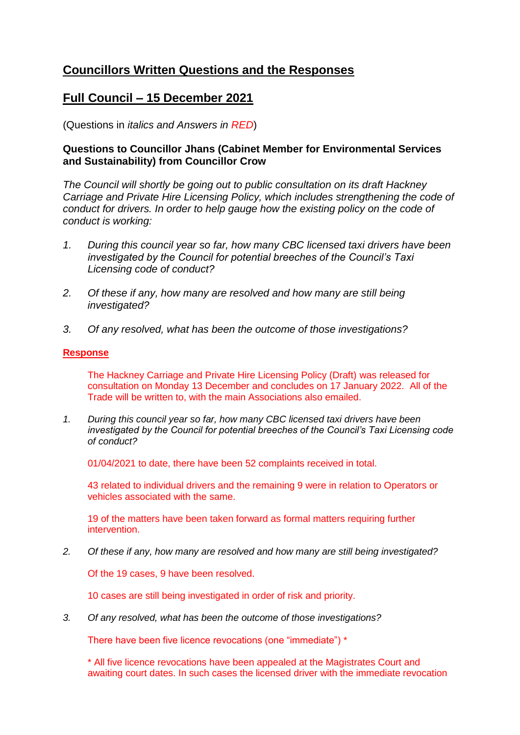# **Councillors Written Questions and the Responses**

# **Full Council – 15 December 2021**

(Questions in *italics and Answers in RED*)

### **Questions to Councillor Jhans (Cabinet Member for Environmental Services and Sustainability) from Councillor Crow**

*The Council will shortly be going out to public consultation on its draft Hackney Carriage and Private Hire Licensing Policy, which includes strengthening the code of conduct for drivers. In order to help gauge how the existing policy on the code of conduct is working:*

- *1. During this council year so far, how many CBC licensed taxi drivers have been investigated by the Council for potential breeches of the Council's Taxi Licensing code of conduct?*
- *2. Of these if any, how many are resolved and how many are still being investigated?*
- *3. Of any resolved, what has been the outcome of those investigations?*

### **Response**

The Hackney Carriage and Private Hire Licensing Policy (Draft) was released for consultation on Monday 13 December and concludes on 17 January 2022. All of the Trade will be written to, with the main Associations also emailed.

*1. During this council year so far, how many CBC licensed taxi drivers have been investigated by the Council for potential breeches of the Council's Taxi Licensing code of conduct?* 

01/04/2021 to date, there have been 52 complaints received in total.

43 related to individual drivers and the remaining 9 were in relation to Operators or vehicles associated with the same.

19 of the matters have been taken forward as formal matters requiring further intervention.

*2. Of these if any, how many are resolved and how many are still being investigated?*

Of the 19 cases, 9 have been resolved.

10 cases are still being investigated in order of risk and priority.

*3. Of any resolved, what has been the outcome of those investigations?*

There have been five licence revocations (one "immediate") \*

\* All five licence revocations have been appealed at the Magistrates Court and awaiting court dates. In such cases the licensed driver with the immediate revocation